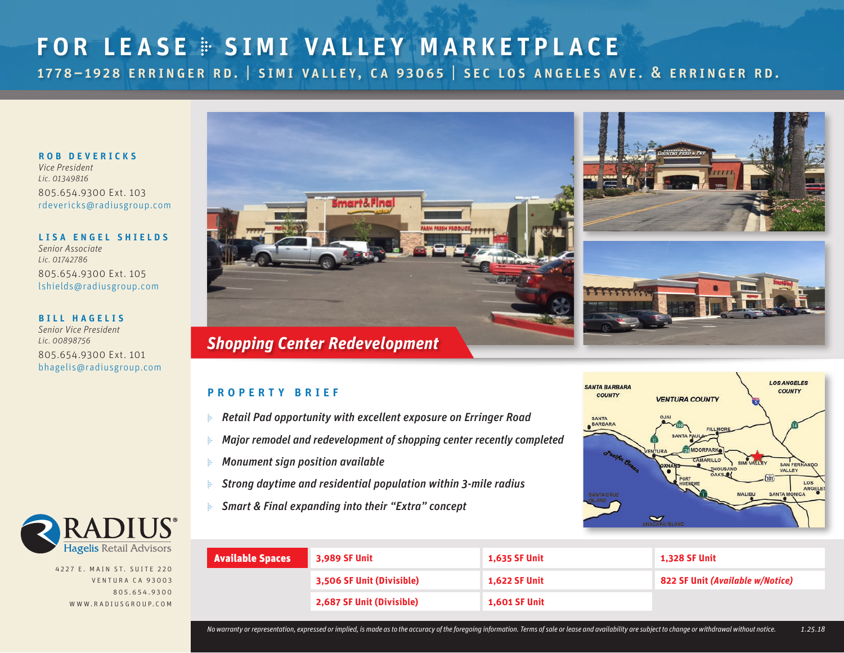## for lease � simi valley marketplace 1778–1928 erringer rd. | simi valley, ca 93065 | sec los angeles ave. & erringer rd.

ROB DEVERICKS

*Vice President Lic. 01349816*  805.654.9300 Ext. 103 [rdevericks@radiusgroup.com](mailto:rdevericks%40radiusgroup.com?subject=Inquiry)

LISA ENGEL SHIELDS *Senior Associate*

*Lic. 01742786*  805.654.9300 Ext. 105 [lshields@radiusgroup.com](mailto:lshields%40radiusgroup.com?subject=Inquiry)

#### **BILL HAGELIS**

*Senior Vice President Lic. 00898756*  805.654.9300 Ext. 101 [bhagelis@radiusgroup.com](mailto:bhagelis%40radiusgroup.com?subject=Inquiry)



### property brief

- ▶ *Retail Pad opportunity with excellent exposure on Erringer Road*
- ▶ *Major remodel and redevelopment of shopping center recently completed*
- ▶ *Monument sign position available*
- ▶ *Strong daytime and residential population within 3-mile radius*
- ▶ *Smart & Final expanding into their "Extra" concept*





4227 E. MAIN ST. SUITE 220 VENTURA CA 93003 805.654.9300 www.radiu s g roup. com

| <b>Available Spaces</b> | 3,989 SF Unit             | <b>1,635 SF Unit</b> | <b>1,328 SF Unit</b>             |  |
|-------------------------|---------------------------|----------------------|----------------------------------|--|
|                         | 3,506 SF Unit (Divisible) | <b>1,622 SF Unit</b> | 822 SF Unit (Available w/Notice) |  |
|                         | 2,687 SF Unit (Divisible) | <b>1,601 SF Unit</b> |                                  |  |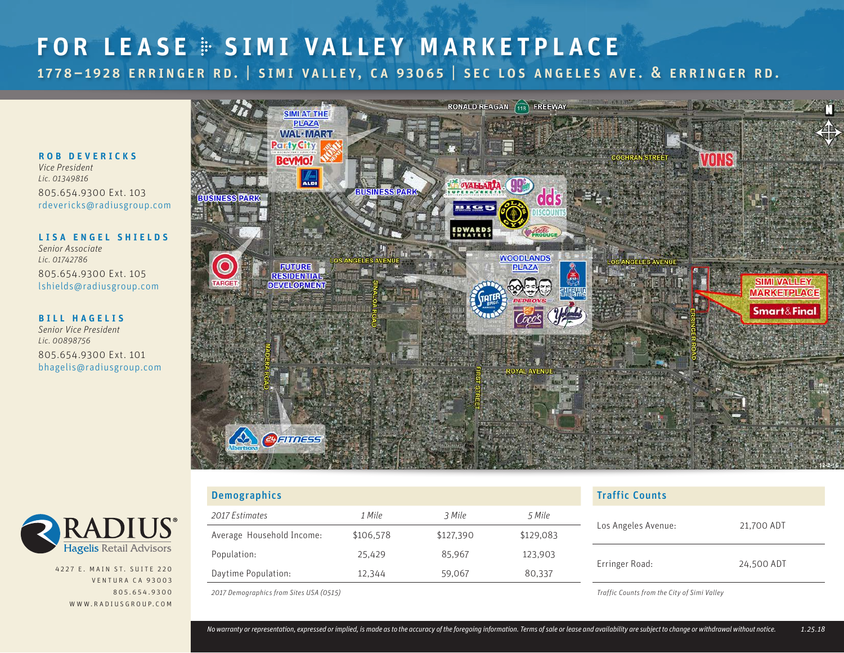## FOR LEASE  $\cong$  SIMI VALLEY MARKETPLACE 1778–1928 erringer rd. | simi valley, ca 93065 | sec los angeles ave. & erringer rd.

#### ROB DEVERICKS

*Vice President Lic. 01349816*  805.654.9300 Ext. 103 [rdevericks@radiusgroup.com](mailto:rdevericks%40radiusgroup.com?subject=Inquiry)

LISA ENGEL SHIELDS *Senior Associate Lic. 01742786*  805.654.9300 Ext. 105 [lshields@radiusgroup.com](mailto:lshields%40radiusgroup.com?subject=Inquiry)

#### **BILL HAGELIS**

*Senior Vice President Lic. 00898756*  805.654.9300 Ext. 101 [bhagelis@radiusgroup.com](mailto:bhagelis%40radiusgroup.com?subject=Inquiry)





4227 E. MAIN ST. SUITE 220 VENTURA CA 93003 805.654.9300 www.radiu s g roup. com

| <b>Demographics</b>       |           | <b>Traffic Counts</b> |           |                                   |  |
|---------------------------|-----------|-----------------------|-----------|-----------------------------------|--|
| 2017 Estimates            | 1 Mile    | 3 Mile                | 5 Mile    | 21,700 ADT<br>Los Angeles Avenue: |  |
| Average Household Income: | \$106,578 | \$127,390             | \$129,083 |                                   |  |
| Population:               | 25,429    | 85.967                | 123,903   | 24,500 ADT<br>Erringer Road:      |  |
| Daytime Population:       | 12,344    | 59,067                | 80,337    |                                   |  |
|                           |           |                       |           |                                   |  |

*2017 Demographics from Sites USA (0515)*

*Traffic Counts from the City of Simi Valley*